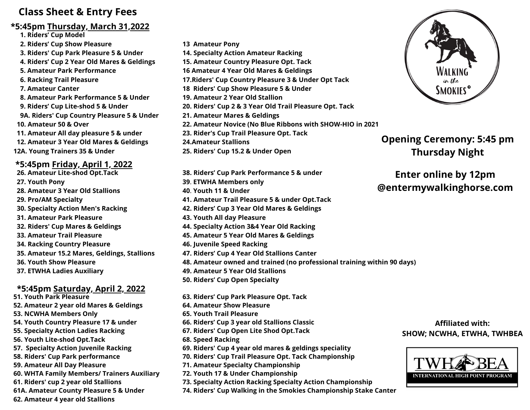## **Class Sheet & Entry Fees**

#### **\*5:45pm Thursday, March 31,2022**

- **1. Riders' Cup Model**
- **2. Riders' Cup Show Pleasure**
- **3. Riders' Cup Park Pleasure 5 & Under**
- **4. Riders' Cup 2 Year Old Mares & Geldings**
- **5. Amateur Park Performance**
- **6. Racking Trail Pleasure**
- **7. Amateur Canter**
- **8. Amateur Park Performance 5 & Under**
- **9. Riders' Cup Lite-shod 5 & Under 9A. Riders' Cup Country Pleasure 5 & Under 10. Amateur 50 & Over**
- **11. Amateur All day pleasure 5 & under**
- **12. Amateur 3 Year Old Mares & Geldings**
- **12A. Young Trainers 35 & Under**

### **\*5:45pm Friday, April 1, 2022**

**26. Amateur Lite-shod Opt.Tack 27. Youth Pony 28. Amateur 3 Year Old Stallions 29. Pro/AM Specialty 30. Specialty Action Men's Racking 31. Amateur Park Pleasure 32. Riders' Cup Mares & Geldings 33. Amateur Trail Pleasure 34. Racking Country Pleasure 35. Amateur 15.2 Mares, Geldings, Stallions 36. Youth Show Pleasure 37. ETWHA Ladies Auxiliary**

### **\*5:45pm Saturday, April 2, 2022**

**51. Youth Park Pleasure 52. Amateur 2 year old Mares & Geldings 53. NCWHA Members Only 54. Youth Country Pleasure 17 & under 55. Specialty Action Ladies Racking 56. Youth Lite-shod Opt.Tack 57. Specialty Action Juvenile Racking 58. Riders' Cup Park performance 59. Amateur All Day Pleasure 60. WHTA Family Members/ Trainers Auxiliary 61. Riders' cup 2 year old Stallions 61A. Amateur County Pleasure 5 & Under 62. Amateur 4 year old Stallions**

- **13 Amateur Pony 14. Specialty Action Amateur Racking 15. Amateur Country Pleasure Opt. Tack 16 Amateur 4 Year Old Mares & Geldings 17.Riders' Cup Country Pleasure 3 & Under Opt Tack 18 Riders' Cup Show Pleasure 5 & Under 19. Amateur 2 Year Old Stallion 20. Riders' Cup 2 & 3 Year Old Trail Pleasure Opt. Tack 21. Amateur Mares & Geldings 22. Amateur Novice (No Blue Ribbons with SHOW-HIO in 2021 23. Rider's Cup Trail Pleasure Opt. Tack 24.Amateur Stallions 25. Riders' Cup 15.2 & Under Open**
- **38. Riders' Cup Park Performance 5 & under 39**. **ETWHA Members only 40**. **Youth 11 & Under 41. Amateur Trail Pleasure 5 & under Opt.Tack 42. Riders' Cup 3 Year Old Mares & Geldings 43. Youth All day Pleasure 44. Specialty Action 3&4 Year Old Racking 45. Amateur 5 Year Old Mares & Geldings 46. Juvenile Speed Racking 47. Riders' Cup 4 Year Old Stallions Canter 48. Amateur owned and trained (no professional training within 90 days) 49. Amateur 5 Year Old Stallions 50. Riders' Cup Open Specialty**
- **63. Riders' Cup Park Pleasure Opt. Tack 64. Amateur Show Pleasure 65. Youth Trail Pleasure 66. Riders' Cup 3 year old Stallions Classic 67. Riders' Cup Open Lite Shod Opt.Tack 68. Speed Racking 69. Riders' Cup 4 year old mares & geldings speciality 70. Riders' Cup Trail Pleasure Opt. Tack Championship 71. Amateur Specialty Championship 72. Youth 17 & Under Championship 73. Specialty Action Racking Specialty Action Championship**
- **74. Riders' Cup Walking in the Smokies Championship Stake Canter**



## **Opening Ceremony: 5:45 pm Thursday Night**

## **Enter online by 12pm @entermywalkinghorse.com**

#### **Affiliated with: SHOW; NCWHA, ETWHA, TWHBEA**